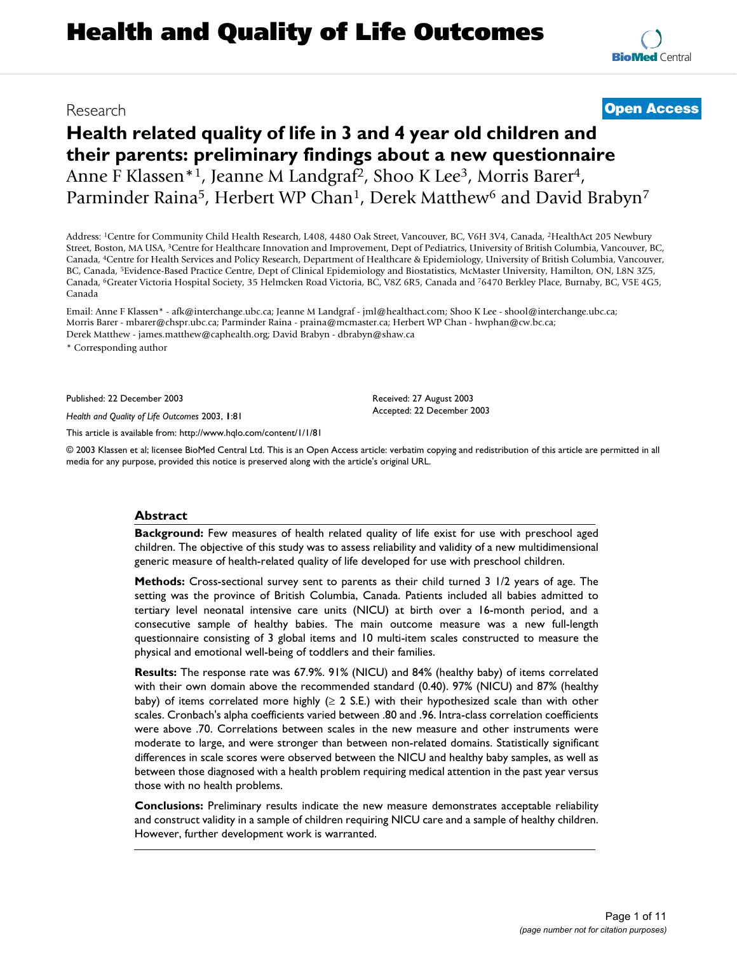# **Health related quality of life in 3 and 4 year old children and their parents: preliminary findings about a new questionnaire** Anne F Klassen<sup>\*1</sup>, Jeanne M Landgraf<sup>2</sup>, Shoo K Lee<sup>3</sup>, Morris Barer<sup>4</sup>, Parminder Raina<sup>5</sup>, Herbert WP Chan<sup>1</sup>, Derek Matthew<sup>6</sup> and David Brabyn<sup>7</sup>

Address: 1Centre for Community Child Health Research, L408, 4480 Oak Street, Vancouver, BC, V6H 3V4, Canada, 2HealthAct 205 Newbury Street, Boston, MA USA, 3Centre for Healthcare Innovation and Improvement, Dept of Pediatrics, University of British Columbia, Vancouver, BC, Canada, 4Centre for Health Services and Policy Research, Department of Healthcare & Epidemiology, University of British Columbia, Vancouver, BC, Canada, 5Evidence-Based Practice Centre, Dept of Clinical Epidemiology and Biostatistics, McMaster University, Hamilton, ON, L8N 3Z5, Canada, 6Greater Victoria Hospital Society, 35 Helmcken Road Victoria, BC, V8Z 6R5, Canada and 76470 Berkley Place, Burnaby, BC, V5E 4G5, Canada

Email: Anne F Klassen\* - afk@interchange.ubc.ca; Jeanne M Landgraf - jml@healthact.com; Shoo K Lee - shool@interchange.ubc.ca; Morris Barer - mbarer@chspr.ubc.ca; Parminder Raina - praina@mcmaster.ca; Herbert WP Chan - hwphan@cw.bc.ca; Derek Matthew - james.matthew@caphealth.org; David Brabyn - dbrabyn@shaw.ca

\* Corresponding author

Published: 22 December 2003

*Health and Quality of Life Outcomes* 2003, **1**:81

[This article is available from: http://www.hqlo.com/content/1/1/81](http://www.hqlo.com/content/1/1/81)

Received: 27 August 2003 Accepted: 22 December 2003

© 2003 Klassen et al; licensee BioMed Central Ltd. This is an Open Access article: verbatim copying and redistribution of this article are permitted in all media for any purpose, provided this notice is preserved along with the article's original URL.

# **Abstract**

**Background:** Few measures of health related quality of life exist for use with preschool aged children. The objective of this study was to assess reliability and validity of a new multidimensional generic measure of health-related quality of life developed for use with preschool children.

**Methods:** Cross-sectional survey sent to parents as their child turned 3 1/2 years of age. The setting was the province of British Columbia, Canada. Patients included all babies admitted to tertiary level neonatal intensive care units (NICU) at birth over a 16-month period, and a consecutive sample of healthy babies. The main outcome measure was a new full-length questionnaire consisting of 3 global items and 10 multi-item scales constructed to measure the physical and emotional well-being of toddlers and their families.

**Results:** The response rate was 67.9%. 91% (NICU) and 84% (healthy baby) of items correlated with their own domain above the recommended standard (0.40). 97% (NICU) and 87% (healthy baby) of items correlated more highly ( $\geq$  2 S.E.) with their hypothesized scale than with other scales. Cronbach's alpha coefficients varied between .80 and .96. Intra-class correlation coefficients were above .70. Correlations between scales in the new measure and other instruments were moderate to large, and were stronger than between non-related domains. Statistically significant differences in scale scores were observed between the NICU and healthy baby samples, as well as between those diagnosed with a health problem requiring medical attention in the past year versus those with no health problems.

**Conclusions:** Preliminary results indicate the new measure demonstrates acceptable reliability and construct validity in a sample of children requiring NICU care and a sample of healthy children. However, further development work is warranted.

# Research **[Open Access](http://www.biomedcentral.com/info/about/charter/)**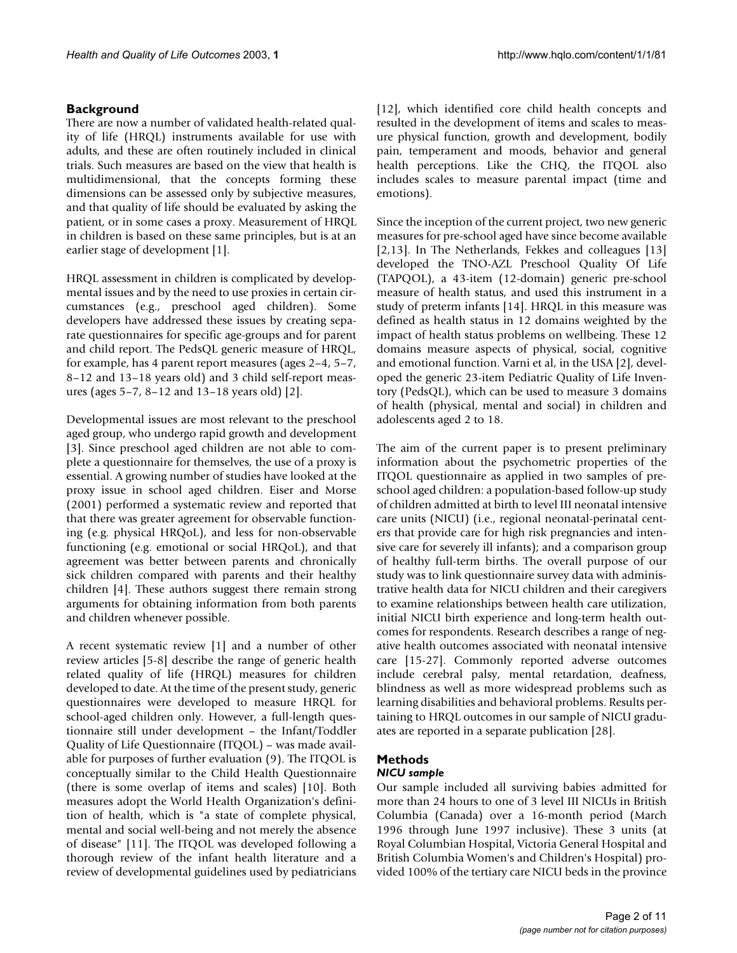# **Background**

There are now a number of validated health-related quality of life (HRQL) instruments available for use with adults, and these are often routinely included in clinical trials. Such measures are based on the view that health is multidimensional, that the concepts forming these dimensions can be assessed only by subjective measures, and that quality of life should be evaluated by asking the patient, or in some cases a proxy. Measurement of HRQL in children is based on these same principles, but is at an earlier stage of development [1].

HRQL assessment in children is complicated by developmental issues and by the need to use proxies in certain circumstances (e.g., preschool aged children). Some developers have addressed these issues by creating separate questionnaires for specific age-groups and for parent and child report. The PedsQL generic measure of HRQL, for example, has 4 parent report measures (ages 2–4, 5–7, 8–12 and 13–18 years old) and 3 child self-report measures (ages 5–7, 8–12 and 13–18 years old) [2].

Developmental issues are most relevant to the preschool aged group, who undergo rapid growth and development [3]. Since preschool aged children are not able to complete a questionnaire for themselves, the use of a proxy is essential. A growing number of studies have looked at the proxy issue in school aged children. Eiser and Morse (2001) performed a systematic review and reported that that there was greater agreement for observable functioning (e.g. physical HRQoL), and less for non-observable functioning (e.g. emotional or social HRQoL), and that agreement was better between parents and chronically sick children compared with parents and their healthy children [4]. These authors suggest there remain strong arguments for obtaining information from both parents and children whenever possible.

A recent systematic review [1] and a number of other review articles [5-8] describe the range of generic health related quality of life (HRQL) measures for children developed to date. At the time of the present study, generic questionnaires were developed to measure HRQL for school-aged children only. However, a full-length questionnaire still under development – the Infant/Toddler Quality of Life Questionnaire (ITQOL) – was made available for purposes of further evaluation (9). The ITQOL is conceptually similar to the Child Health Questionnaire (there is some overlap of items and scales) [10]. Both measures adopt the World Health Organization's definition of health, which is "a state of complete physical, mental and social well-being and not merely the absence of disease" [11]. The ITQOL was developed following a thorough review of the infant health literature and a review of developmental guidelines used by pediatricians

[12], which identified core child health concepts and resulted in the development of items and scales to measure physical function, growth and development, bodily pain, temperament and moods, behavior and general health perceptions. Like the CHQ, the ITQOL also includes scales to measure parental impact (time and emotions).

Since the inception of the current project, two new generic measures for pre-school aged have since become available [2,13]. In The Netherlands, Fekkes and colleagues [13] developed the TNO-AZL Preschool Quality Of Life (TAPQOL), a 43-item (12-domain) generic pre-school measure of health status, and used this instrument in a study of preterm infants [14]. HRQL in this measure was defined as health status in 12 domains weighted by the impact of health status problems on wellbeing. These 12 domains measure aspects of physical, social, cognitive and emotional function. Varni et al, in the USA [2], developed the generic 23-item Pediatric Quality of Life Inventory (PedsQL), which can be used to measure 3 domains of health (physical, mental and social) in children and adolescents aged 2 to 18.

The aim of the current paper is to present preliminary information about the psychometric properties of the ITQOL questionnaire as applied in two samples of preschool aged children: a population-based follow-up study of children admitted at birth to level III neonatal intensive care units (NICU) (i.e., regional neonatal-perinatal centers that provide care for high risk pregnancies and intensive care for severely ill infants); and a comparison group of healthy full-term births. The overall purpose of our study was to link questionnaire survey data with administrative health data for NICU children and their caregivers to examine relationships between health care utilization, initial NICU birth experience and long-term health outcomes for respondents. Research describes a range of negative health outcomes associated with neonatal intensive care [15-27]. Commonly reported adverse outcomes include cerebral palsy, mental retardation, deafness, blindness as well as more widespread problems such as learning disabilities and behavioral problems. Results pertaining to HRQL outcomes in our sample of NICU graduates are reported in a separate publication [28].

# **Methods**

# *NICU sample*

Our sample included all surviving babies admitted for more than 24 hours to one of 3 level III NICUs in British Columbia (Canada) over a 16-month period (March 1996 through June 1997 inclusive). These 3 units (at Royal Columbian Hospital, Victoria General Hospital and British Columbia Women's and Children's Hospital) provided 100% of the tertiary care NICU beds in the province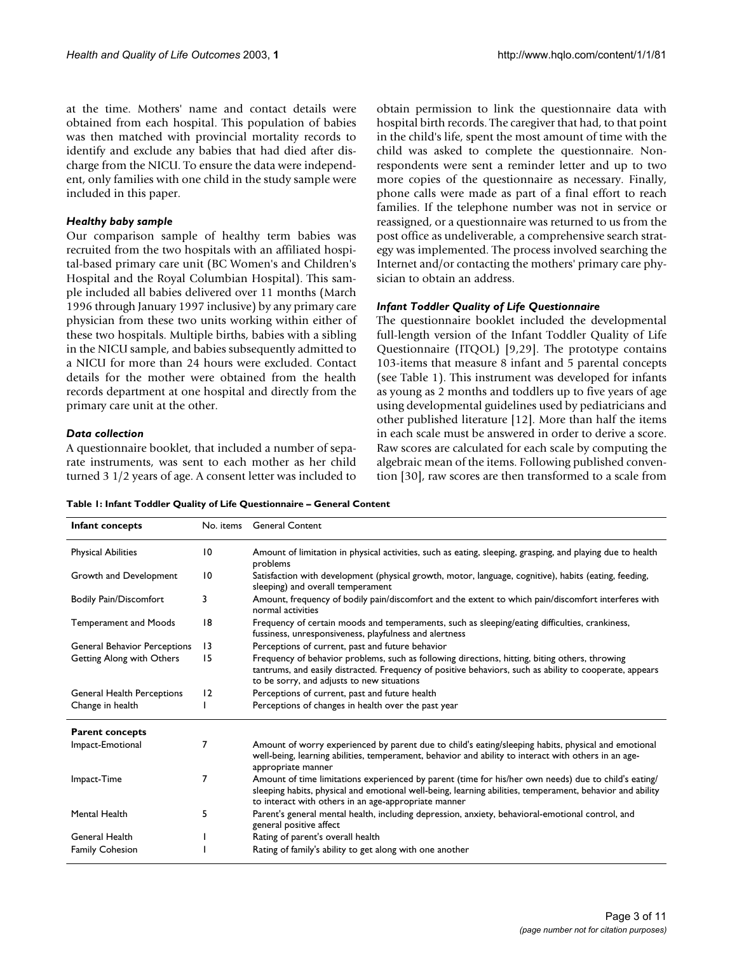at the time. Mothers' name and contact details were obtained from each hospital. This population of babies was then matched with provincial mortality records to identify and exclude any babies that had died after discharge from the NICU. To ensure the data were independent, only families with one child in the study sample were included in this paper.

#### *Healthy baby sample*

Our comparison sample of healthy term babies was recruited from the two hospitals with an affiliated hospital-based primary care unit (BC Women's and Children's Hospital and the Royal Columbian Hospital). This sample included all babies delivered over 11 months (March 1996 through January 1997 inclusive) by any primary care physician from these two units working within either of these two hospitals. Multiple births, babies with a sibling in the NICU sample, and babies subsequently admitted to a NICU for more than 24 hours were excluded. Contact details for the mother were obtained from the health records department at one hospital and directly from the primary care unit at the other.

#### *Data collection*

A questionnaire booklet, that included a number of separate instruments, was sent to each mother as her child turned 3 1/2 years of age. A consent letter was included to

obtain permission to link the questionnaire data with hospital birth records. The caregiver that had, to that point in the child's life, spent the most amount of time with the child was asked to complete the questionnaire. Nonrespondents were sent a reminder letter and up to two more copies of the questionnaire as necessary. Finally, phone calls were made as part of a final effort to reach families. If the telephone number was not in service or reassigned, or a questionnaire was returned to us from the post office as undeliverable, a comprehensive search strategy was implemented. The process involved searching the Internet and/or contacting the mothers' primary care physician to obtain an address.

#### *Infant Toddler Quality of Life Questionnaire*

The questionnaire booklet included the developmental full-length version of the Infant Toddler Quality of Life Questionnaire (ITQOL) [9,29]. The prototype contains 103-items that measure 8 infant and 5 parental concepts (see Table 1). This instrument was developed for infants as young as 2 months and toddlers up to five years of age using developmental guidelines used by pediatricians and other published literature [12]. More than half the items in each scale must be answered in order to derive a score. Raw scores are calculated for each scale by computing the algebraic mean of the items. Following published convention [30], raw scores are then transformed to a scale from

| Table 1: Infant Toddler Quality of Life Questionnaire – General Content |  |
|-------------------------------------------------------------------------|--|
|-------------------------------------------------------------------------|--|

| Infant concepts                     | No. items       | <b>General Content</b>                                                                                                                                                                                                                                                    |
|-------------------------------------|-----------------|---------------------------------------------------------------------------------------------------------------------------------------------------------------------------------------------------------------------------------------------------------------------------|
| <b>Physical Abilities</b>           | 10              | Amount of limitation in physical activities, such as eating, sleeping, grasping, and playing due to health<br>problems                                                                                                                                                    |
| Growth and Development              | $\overline{10}$ | Satisfaction with development (physical growth, motor, language, cognitive), habits (eating, feeding,<br>sleeping) and overall temperament                                                                                                                                |
| <b>Bodily Pain/Discomfort</b>       | 3               | Amount, frequency of bodily pain/discomfort and the extent to which pain/discomfort interferes with<br>normal activities                                                                                                                                                  |
| <b>Temperament and Moods</b>        | 8               | Frequency of certain moods and temperaments, such as sleeping/eating difficulties, crankiness,<br>fussiness, unresponsiveness, playfulness and alertness                                                                                                                  |
| <b>General Behavior Perceptions</b> | $\overline{13}$ | Perceptions of current, past and future behavior                                                                                                                                                                                                                          |
| Getting Along with Others           | 15              | Frequency of behavior problems, such as following directions, hitting, biting others, throwing<br>tantrums, and easily distracted. Frequency of positive behaviors, such as ability to cooperate, appears<br>to be sorry, and adjusts to new situations                   |
| <b>General Health Perceptions</b>   | 12              | Perceptions of current, past and future health                                                                                                                                                                                                                            |
| Change in health                    |                 | Perceptions of changes in health over the past year                                                                                                                                                                                                                       |
| <b>Parent concepts</b>              |                 |                                                                                                                                                                                                                                                                           |
| Impact-Emotional                    | 7               | Amount of worry experienced by parent due to child's eating/sleeping habits, physical and emotional<br>well-being, learning abilities, temperament, behavior and ability to interact with others in an age-<br>appropriate manner                                         |
| Impact-Time                         | 7               | Amount of time limitations experienced by parent (time for his/her own needs) due to child's eating/<br>sleeping habits, physical and emotional well-being, learning abilities, temperament, behavior and ability<br>to interact with others in an age-appropriate manner |
| Mental Health                       | 5               | Parent's general mental health, including depression, anxiety, behavioral-emotional control, and<br>general positive affect                                                                                                                                               |
| General Health                      |                 | Rating of parent's overall health                                                                                                                                                                                                                                         |
| <b>Family Cohesion</b>              |                 | Rating of family's ability to get along with one another                                                                                                                                                                                                                  |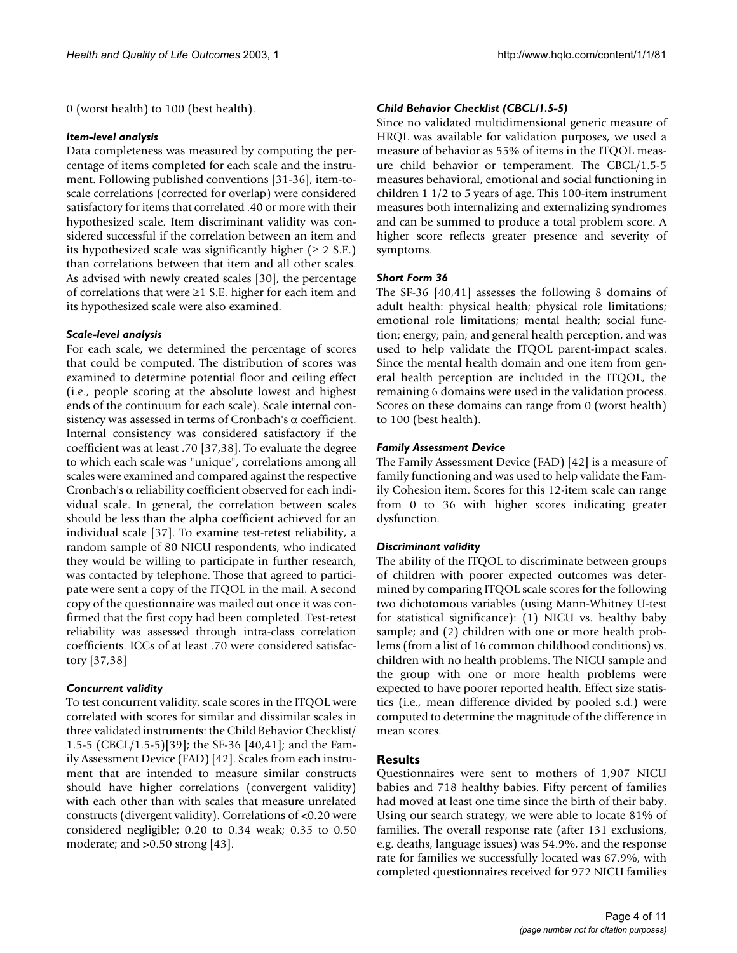0 (worst health) to 100 (best health).

#### *Item-level analysis*

Data completeness was measured by computing the percentage of items completed for each scale and the instrument. Following published conventions [31-36], item-toscale correlations (corrected for overlap) were considered satisfactory for items that correlated .40 or more with their hypothesized scale. Item discriminant validity was considered successful if the correlation between an item and its hypothesized scale was significantly higher ( $\geq 2$  S.E.) than correlations between that item and all other scales. As advised with newly created scales [30], the percentage of correlations that were ≥1 S.E. higher for each item and its hypothesized scale were also examined.

#### *Scale-level analysis*

For each scale, we determined the percentage of scores that could be computed. The distribution of scores was examined to determine potential floor and ceiling effect (i.e., people scoring at the absolute lowest and highest ends of the continuum for each scale). Scale internal consistency was assessed in terms of Cronbach's  $\alpha$  coefficient. Internal consistency was considered satisfactory if the coefficient was at least .70 [37,38]. To evaluate the degree to which each scale was "unique", correlations among all scales were examined and compared against the respective Cronbach's α reliability coefficient observed for each individual scale. In general, the correlation between scales should be less than the alpha coefficient achieved for an individual scale [37]. To examine test-retest reliability, a random sample of 80 NICU respondents, who indicated they would be willing to participate in further research, was contacted by telephone. Those that agreed to participate were sent a copy of the ITQOL in the mail. A second copy of the questionnaire was mailed out once it was confirmed that the first copy had been completed. Test-retest reliability was assessed through intra-class correlation coefficients. ICCs of at least .70 were considered satisfactory [37,38]

#### *Concurrent validity*

To test concurrent validity, scale scores in the ITQOL were correlated with scores for similar and dissimilar scales in three validated instruments: the Child Behavior Checklist/ 1.5-5 (CBCL/1.5-5)[39]; the SF-36 [40,41]; and the Family Assessment Device (FAD) [42]. Scales from each instrument that are intended to measure similar constructs should have higher correlations (convergent validity) with each other than with scales that measure unrelated constructs (divergent validity). Correlations of <0.20 were considered negligible; 0.20 to 0.34 weak; 0.35 to 0.50 moderate; and >0.50 strong [43].

### *Child Behavior Checklist (CBCL/1.5-5)*

Since no validated multidimensional generic measure of HRQL was available for validation purposes, we used a measure of behavior as 55% of items in the ITQOL measure child behavior or temperament. The CBCL/1.5-5 measures behavioral, emotional and social functioning in children 1 1/2 to 5 years of age. This 100-item instrument measures both internalizing and externalizing syndromes and can be summed to produce a total problem score. A higher score reflects greater presence and severity of symptoms.

#### *Short Form 36*

The SF-36 [40,41] assesses the following 8 domains of adult health: physical health; physical role limitations; emotional role limitations; mental health; social function; energy; pain; and general health perception, and was used to help validate the ITQOL parent-impact scales. Since the mental health domain and one item from general health perception are included in the ITQOL, the remaining 6 domains were used in the validation process. Scores on these domains can range from 0 (worst health) to 100 (best health).

#### *Family Assessment Device*

The Family Assessment Device (FAD) [42] is a measure of family functioning and was used to help validate the Family Cohesion item. Scores for this 12-item scale can range from 0 to 36 with higher scores indicating greater dysfunction.

#### *Discriminant validity*

The ability of the ITQOL to discriminate between groups of children with poorer expected outcomes was determined by comparing ITQOL scale scores for the following two dichotomous variables (using Mann-Whitney U-test for statistical significance): (1) NICU vs. healthy baby sample; and (2) children with one or more health problems (from a list of 16 common childhood conditions) vs. children with no health problems. The NICU sample and the group with one or more health problems were expected to have poorer reported health. Effect size statistics (i.e., mean difference divided by pooled s.d.) were computed to determine the magnitude of the difference in mean scores.

#### **Results**

Questionnaires were sent to mothers of 1,907 NICU babies and 718 healthy babies. Fifty percent of families had moved at least one time since the birth of their baby. Using our search strategy, we were able to locate 81% of families. The overall response rate (after 131 exclusions, e.g. deaths, language issues) was 54.9%, and the response rate for families we successfully located was 67.9%, with completed questionnaires received for 972 NICU families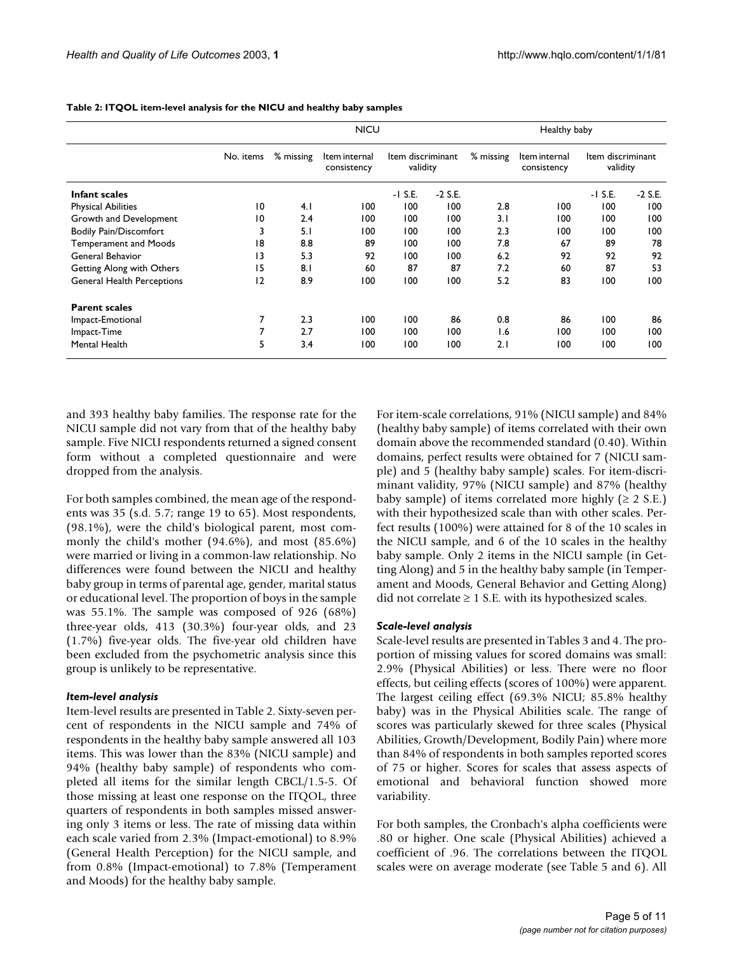|                                   |                 | <b>NICU</b> |                              |                               |           |           | Healthy baby                 |                               |           |  |  |
|-----------------------------------|-----------------|-------------|------------------------------|-------------------------------|-----------|-----------|------------------------------|-------------------------------|-----------|--|--|
|                                   | No. items       | % missing   | Item internal<br>consistency | Item discriminant<br>validity |           | % missing | Item internal<br>consistency | Item discriminant<br>validity |           |  |  |
| Infant scales                     |                 |             |                              | $-1$ S.E.                     | $-2$ S.E. |           |                              | $-1$ S.E.                     | $-2$ S.E. |  |  |
| <b>Physical Abilities</b>         | 10              | 4.1         | 100                          | 100                           | 100       | 2.8       | 100                          | 100                           | 100       |  |  |
| Growth and Development            | $\overline{10}$ | 2.4         | 100                          | 100                           | 100       | 3.1       | 100                          | 100                           | 100       |  |  |
| <b>Bodily Pain/Discomfort</b>     | 3               | 5.1         | 100                          | 100                           | 100       | 2.3       | 100                          | 100                           | 100       |  |  |
| <b>Temperament and Moods</b>      | 18              | 8.8         | 89                           | 100                           | 100       | 7.8       | 67                           | 89                            | 78        |  |  |
| General Behavior                  | $\overline{13}$ | 5.3         | 92                           | 100                           | 100       | 6.2       | 92                           | 92                            | 92        |  |  |
| Getting Along with Others         | 15              | 8.1         | 60                           | 87                            | 87        | 7.2       | 60                           | 87                            | 53        |  |  |
| <b>General Health Perceptions</b> | 12              | 8.9         | 100                          | 100                           | 100       | 5.2       | 83                           | 100                           | 100       |  |  |
| <b>Parent scales</b>              |                 |             |                              |                               |           |           |                              |                               |           |  |  |
| Impact-Emotional                  | 7               | 2.3         | 100                          | 100                           | 86        | 0.8       | 86                           | 100                           | 86        |  |  |
| Impact-Time                       | 7               | 2.7         | 100                          | 100                           | 100       | 1.6       | 100                          | 100                           | 100       |  |  |
| Mental Health                     | 5               | 3.4         | 100                          | 100                           | 100       | 2.1       | 100                          | 100                           | 100       |  |  |

<span id="page-4-0"></span>**Table 2: ITQOL item-level analysis for the NICU and healthy baby samples**

and 393 healthy baby families. The response rate for the NICU sample did not vary from that of the healthy baby sample. Five NICU respondents returned a signed consent form without a completed questionnaire and were dropped from the analysis.

For both samples combined, the mean age of the respondents was 35 (s.d. 5.7; range 19 to 65). Most respondents, (98.1%), were the child's biological parent, most commonly the child's mother (94.6%), and most (85.6%) were married or living in a common-law relationship. No differences were found between the NICU and healthy baby group in terms of parental age, gender, marital status or educational level. The proportion of boys in the sample was 55.1%. The sample was composed of 926 (68%) three-year olds, 413 (30.3%) four-year olds, and 23 (1.7%) five-year olds. The five-year old children have been excluded from the psychometric analysis since this group is unlikely to be representative.

#### *Item-level analysis*

Item-level results are presented in Table [2.](#page-4-0) Sixty-seven percent of respondents in the NICU sample and 74% of respondents in the healthy baby sample answered all 103 items. This was lower than the 83% (NICU sample) and 94% (healthy baby sample) of respondents who completed all items for the similar length CBCL/1.5-5. Of those missing at least one response on the ITQOL, three quarters of respondents in both samples missed answering only 3 items or less. The rate of missing data within each scale varied from 2.3% (Impact-emotional) to 8.9% (General Health Perception) for the NICU sample, and from 0.8% (Impact-emotional) to 7.8% (Temperament and Moods) for the healthy baby sample.

For item-scale correlations, 91% (NICU sample) and 84% (healthy baby sample) of items correlated with their own domain above the recommended standard (0.40). Within domains, perfect results were obtained for 7 (NICU sample) and 5 (healthy baby sample) scales. For item-discriminant validity, 97% (NICU sample) and 87% (healthy baby sample) of items correlated more highly  $(≥ 2 S.E.)$ with their hypothesized scale than with other scales. Perfect results (100%) were attained for 8 of the 10 scales in the NICU sample, and 6 of the 10 scales in the healthy baby sample. Only 2 items in the NICU sample (in Getting Along) and 5 in the healthy baby sample (in Temperament and Moods, General Behavior and Getting Along) did not correlate  $\geq 1$  S.E. with its hypothesized scales.

#### *Scale-level analysis*

Scale-level results are presented in Tables [3](#page-5-0) and [4.](#page-5-1) The proportion of missing values for scored domains was small: 2.9% (Physical Abilities) or less. There were no floor effects, but ceiling effects (scores of 100%) were apparent. The largest ceiling effect (69.3% NICU; 85.8% healthy baby) was in the Physical Abilities scale. The range of scores was particularly skewed for three scales (Physical Abilities, Growth/Development, Bodily Pain) where more than 84% of respondents in both samples reported scores of 75 or higher. Scores for scales that assess aspects of emotional and behavioral function showed more variability.

For both samples, the Cronbach's alpha coefficients were .80 or higher. One scale (Physical Abilities) achieved a coefficient of .96. The correlations between the ITQOL scales were on average moderate (see Table 5 and [6\)](#page-6-0). All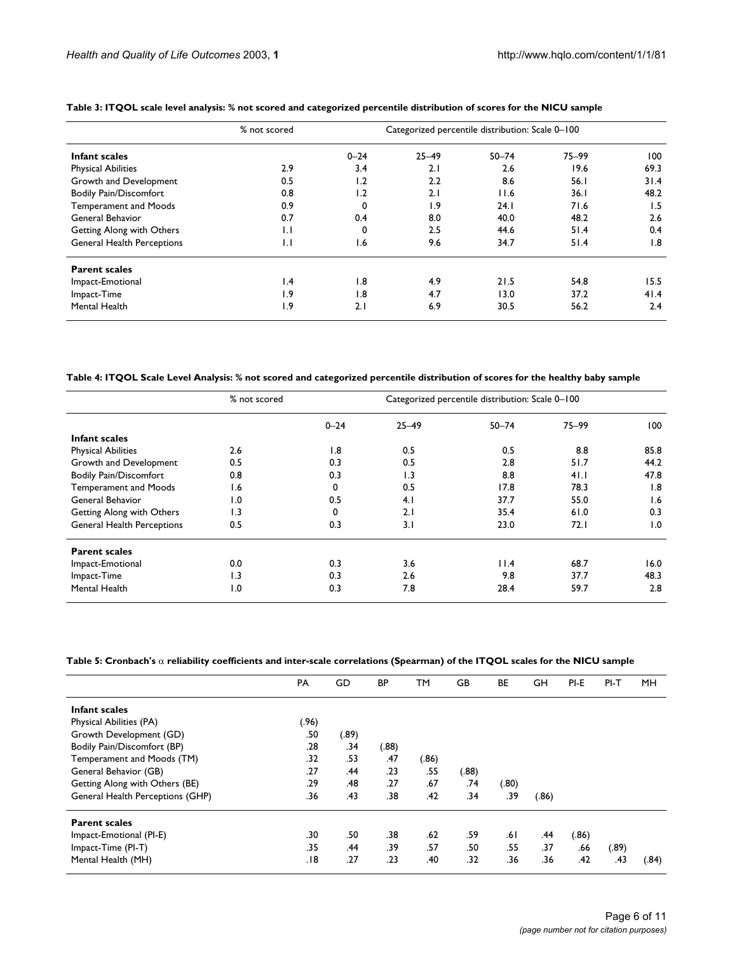|                                   | % not scored    | Categorized percentile distribution: Scale 0-100 |           |           |           |      |  |  |  |  |
|-----------------------------------|-----------------|--------------------------------------------------|-----------|-----------|-----------|------|--|--|--|--|
| Infant scales                     |                 | $0 - 24$                                         | $25 - 49$ | $50 - 74$ | $75 - 99$ | 100  |  |  |  |  |
| <b>Physical Abilities</b>         | 2.9             | 3.4                                              | 2.1       | 2.6       | 19.6      | 69.3 |  |  |  |  |
| Growth and Development            | 0.5             | 1.2                                              | 2.2       | 8.6       | 56.1      | 31.4 |  |  |  |  |
| <b>Bodily Pain/Discomfort</b>     | 0.8             | 1.2                                              | 2.1       | 11.6      | 36.1      | 48.2 |  |  |  |  |
| Temperament and Moods             | 0.9             | 0                                                | 1.9       | 24.1      | 71.6      | 1.5  |  |  |  |  |
| General Behavior                  | 0.7             | 0.4                                              | 8.0       | 40.0      | 48.2      | 2.6  |  |  |  |  |
| Getting Along with Others         | $\mathsf{L}$    | 0                                                | 2.5       | 44.6      | 51.4      | 0.4  |  |  |  |  |
| <b>General Health Perceptions</b> | $\mathsf{L}$    | 1.6                                              | 9.6       | 34.7      | 51.4      | 1.8  |  |  |  |  |
| <b>Parent scales</b>              |                 |                                                  |           |           |           |      |  |  |  |  |
| Impact-Emotional                  | $\mathsf{I}$ .4 | $\overline{1.8}$                                 | 4.9       | 21.5      | 54.8      | 15.5 |  |  |  |  |
| Impact-Time                       | 1.9             | $\overline{1.8}$                                 | 4.7       | 13.0      | 37.2      | 41.4 |  |  |  |  |
| Mental Health                     | 1.9             | 2.1                                              | 6.9       | 30.5      | 56.2      | 2.4  |  |  |  |  |

#### <span id="page-5-0"></span>**Table 3: ITQOL scale level analysis: % not scored and categorized percentile distribution of scores for the NICU sample**

<span id="page-5-1"></span>**Table 4: ITQOL Scale Level Analysis: % not scored and categorized percentile distribution of scores for the healthy baby sample**

|                                   | % not scored     |          | Categorized percentile distribution: Scale 0-100 |           |           |      |  |  |  |
|-----------------------------------|------------------|----------|--------------------------------------------------|-----------|-----------|------|--|--|--|
|                                   |                  | $0 - 24$ | $25 - 49$                                        | $50 - 74$ | $75 - 99$ | 100  |  |  |  |
| Infant scales                     |                  |          |                                                  |           |           |      |  |  |  |
| <b>Physical Abilities</b>         | 2.6              | 1.8      | 0.5                                              | 0.5       | 8.8       | 85.8 |  |  |  |
| Growth and Development            | 0.5              | 0.3      | 0.5                                              | 2.8       | 51.7      | 44.2 |  |  |  |
| <b>Bodily Pain/Discomfort</b>     | 0.8              | 0.3      | $\overline{1.3}$                                 | 8.8       | 41.1      | 47.8 |  |  |  |
| Temperament and Moods             | 1.6              | 0        | 0.5                                              | 17.8      | 78.3      | 1.8  |  |  |  |
| General Behavior                  | $\overline{1.0}$ | 0.5      | 4.1                                              | 37.7      | 55.0      | 1.6  |  |  |  |
| Getting Along with Others         | 1.3              | 0        | 2.1                                              | 35.4      | 61.0      | 0.3  |  |  |  |
| <b>General Health Perceptions</b> | 0.5              | 0.3      | 3.1                                              | 23.0      | 72.1      | 1.0  |  |  |  |
| <b>Parent scales</b>              |                  |          |                                                  |           |           |      |  |  |  |
| Impact-Emotional                  | 0.0              | 0.3      | 3.6                                              | 11.4      | 68.7      | 16.0 |  |  |  |
| Impact-Time                       | $\overline{1.3}$ | 0.3      | 2.6                                              | 9.8       | 37.7      | 48.3 |  |  |  |
| Mental Health                     | $\overline{1.0}$ | 0.3      | 7.8                                              | 28.4      | 59.7      | 2.8  |  |  |  |

**Table 5: Cronbach's** α **reliability coefficients and inter-scale correlations (Spearman) of the ITQOL scales for the NICU sample**

|                                  | PA    | GD     | BP    | TM   | GB   | ВE   | GH    | PI-E  | $PI-T$ | MH    |
|----------------------------------|-------|--------|-------|------|------|------|-------|-------|--------|-------|
| Infant scales                    |       |        |       |      |      |      |       |       |        |       |
| Physical Abilities (PA)          | (.96) |        |       |      |      |      |       |       |        |       |
| Growth Development (GD)          | .50   | (0.89) |       |      |      |      |       |       |        |       |
| Bodily Pain/Discomfort (BP)      | .28   | .34    | (.88) |      |      |      |       |       |        |       |
| Temperament and Moods (TM)       | .32   | .53    | .47   | .86) |      |      |       |       |        |       |
| General Behavior (GB)            | .27   | .44    | .23   | .55  | .88) |      |       |       |        |       |
| Getting Along with Others (BE)   | .29   | .48    | .27   | .67  | .74  | .80) |       |       |        |       |
| General Health Perceptions (GHP) | .36   | .43    | .38   | .42  | .34  | .39  | (.86) |       |        |       |
| <b>Parent scales</b>             |       |        |       |      |      |      |       |       |        |       |
| Impact-Emotional (PI-E)          | .30   | .50    | .38   | .62  | .59  | ا 6. | .44   | (.86) |        |       |
| Impact-Time (PI-T)               | .35   | .44    | .39   | .57  | .50  | .55  | .37   | .66   | (.89)  |       |
| Mental Health (MH)               | 18.   | .27    | .23   | .40  | .32  | .36  | .36   | .42   | .43    | (.84) |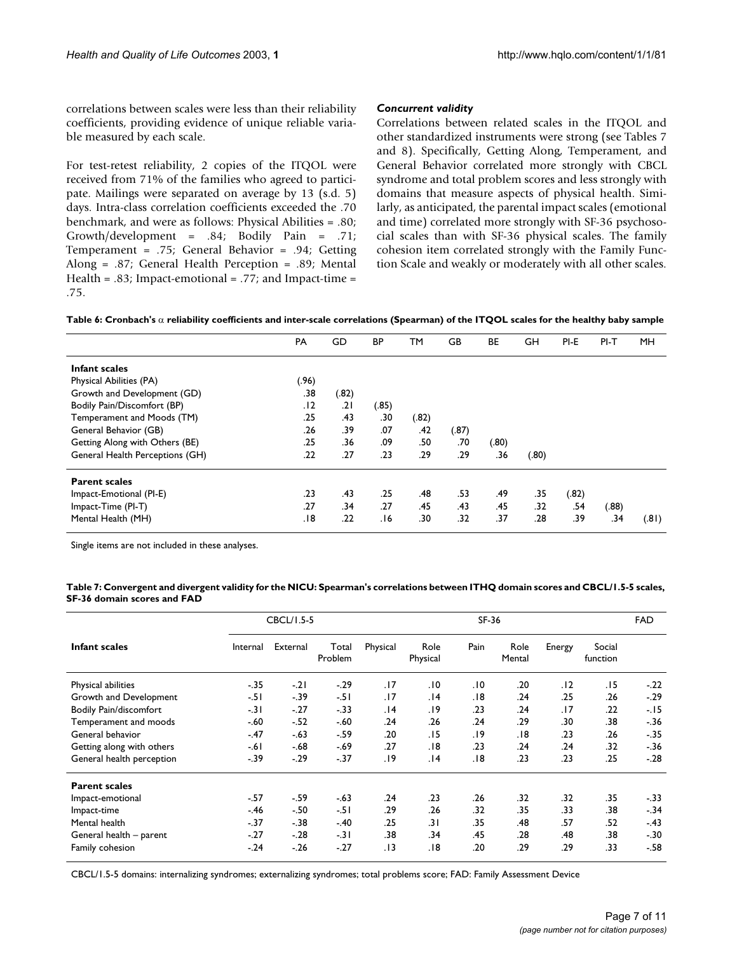correlations between scales were less than their reliability coefficients, providing evidence of unique reliable variable measured by each scale.

For test-retest reliability, 2 copies of the ITQOL were received from 71% of the families who agreed to participate. Mailings were separated on average by 13 (s.d. 5) days. Intra-class correlation coefficients exceeded the .70 benchmark, and were as follows: Physical Abilities = .80; Growth/development = .84; Bodily Pain = .71; Temperament = .75; General Behavior = .94; Getting Along = .87; General Health Perception = .89; Mental Health = .83; Impact-emotional = .77; and Impact-time = .75.

#### *Concurrent validity*

Correlations between related scales in the ITQOL and other standardized instruments were strong (see Tables [7](#page-6-1) and [8](#page-7-0)). Specifically, Getting Along, Temperament, and General Behavior correlated more strongly with CBCL syndrome and total problem scores and less strongly with domains that measure aspects of physical health. Similarly, as anticipated, the parental impact scales (emotional and time) correlated more strongly with SF-36 psychosocial scales than with SF-36 physical scales. The family cohesion item correlated strongly with the Family Function Scale and weakly or moderately with all other scales.

<span id="page-6-0"></span>**Table 6: Cronbach's** α **reliability coefficients and inter-scale correlations (Spearman) of the ITQOL scales for the healthy baby sample**

|                                 | PA    | GD    | <b>BP</b> | ТM    | GB    | BE    | GH    | PI-E  | $PI-T$ | <b>MH</b> |
|---------------------------------|-------|-------|-----------|-------|-------|-------|-------|-------|--------|-----------|
| Infant scales                   |       |       |           |       |       |       |       |       |        |           |
| Physical Abilities (PA)         | (.96) |       |           |       |       |       |       |       |        |           |
| Growth and Development (GD)     | .38   | (.82) |           |       |       |       |       |       |        |           |
| Bodily Pain/Discomfort (BP)     | .12   | .21   | (.85)     |       |       |       |       |       |        |           |
| Temperament and Moods (TM)      | .25   | .43   | .30       | (.82) |       |       |       |       |        |           |
| General Behavior (GB)           | .26   | .39   | .07       | .42   | (.87) |       |       |       |        |           |
| Getting Along with Others (BE)  | .25   | .36   | .09       | .50   | .70   | (.80) |       |       |        |           |
| General Health Perceptions (GH) | .22   | .27   | .23       | .29   | .29   | .36   | (.80) |       |        |           |
| <b>Parent scales</b>            |       |       |           |       |       |       |       |       |        |           |
| Impact-Emotional (PI-E)         | .23   | .43   | .25       | .48   | .53   | .49   | .35   | (.82) |        |           |
| Impact-Time (PI-T)              | .27   | .34   | .27       | .45   | .43   | .45   | .32   | .54   | (.88)  |           |
| Mental Health (MH)              | .18   | .22   | 16.       | .30   | .32   | .37   | .28   | .39   | .34    | (18)      |

Single items are not included in these analyses.

<span id="page-6-1"></span>**Table 7: Convergent and divergent validity for the NICU: Spearman's correlations between ITHQ domain scores and CBCL/1.5-5 scales, SF-36 domain scores and FAD**

|                               | CBCL/1.5-5 |          |                  |          | $SF-36$          |      |                |        |                    | <b>FAD</b> |
|-------------------------------|------------|----------|------------------|----------|------------------|------|----------------|--------|--------------------|------------|
| Infant scales                 | Internal   | External | Total<br>Problem | Physical | Role<br>Physical | Pain | Role<br>Mental | Energy | Social<br>function |            |
| Physical abilities            | $-35$      | $-21$    | $-.29$           | .17      | .10              | .10  | .20            | .12    | . 15               | $-.22$     |
| Growth and Development        | $-51$      | $-39$    | $-51$            | .17      | .14              | .18  | .24            | .25    | .26                | $-29$      |
| <b>Bodily Pain/discomfort</b> | $-31$      | $-27$    | $-33$            | .14      | .19              | .23  | .24            | .17    | .22                | $-15$      |
| Temperament and moods         | $-.60$     | $-52$    | $-.60$           | .24      | .26              | .24  | .29            | .30    | .38                | $-36$      |
| General behavior              | $-.47$     | $-.63$   | $-59$            | .20      | .15              | 19.  | .18            | .23    | .26                | $-35$      |
| Getting along with others     | $-61$      | $-.68$   | $-.69$           | .27      | .18              | .23  | .24            | .24    | .32                | $-36$      |
| General health perception     | $-39$      | $-29$    | $-37$            | .19      | .14              | .18  | .23            | .23    | .25                | $-.28$     |
| <b>Parent scales</b>          |            |          |                  |          |                  |      |                |        |                    |            |
| Impact-emotional              | $-57$      | $-59$    | $-.63$           | .24      | .23              | .26  | .32            | .32    | .35                | $-33$      |
| Impact-time                   | $-.46$     | $-.50$   | $-51$            | .29      | .26              | .32  | .35            | .33    | .38                | $-34$      |
| Mental health                 | $-37$      | $-.38$   | $-.40$           | .25      | .31              | .35  | .48            | .57    | .52                | $-43$      |
| General health - parent       | $-27$      | $-28$    | $-31$            | .38      | .34              | .45  | .28            | .48    | .38                | $-.30$     |
| Family cohesion               | $-24$      | $-.26$   | $-27$            | .13      | .18              | .20  | .29            | .29    | .33                | $-.58$     |

CBCL/1.5-5 domains: internalizing syndromes; externalizing syndromes; total problems score; FAD: Family Assessment Device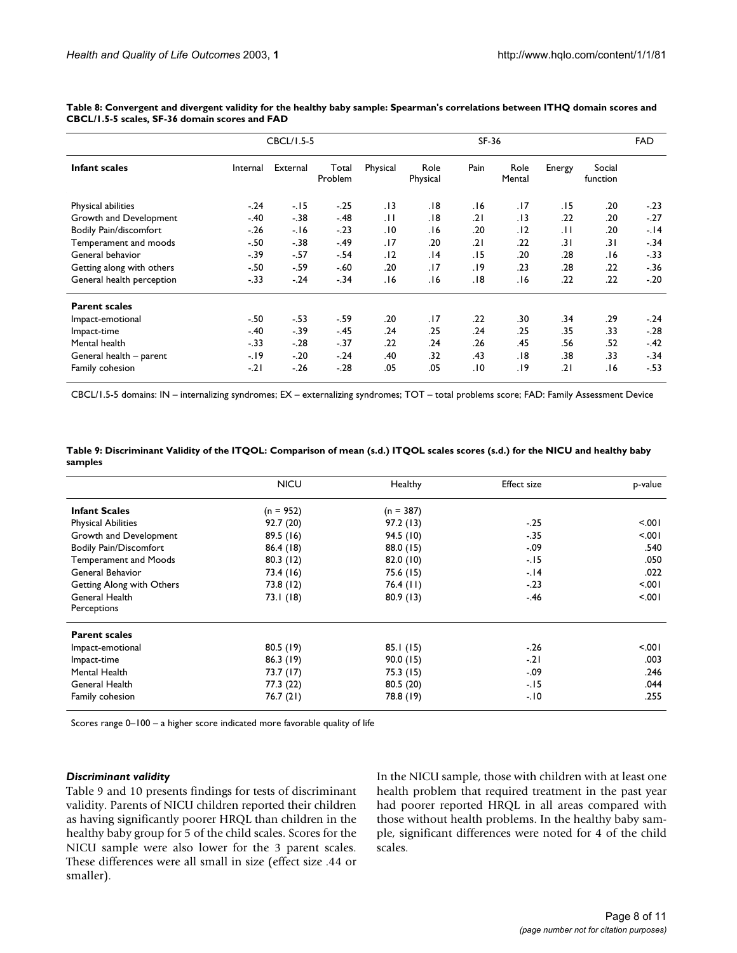|                               | CBCL/I.5-5 | SF-36    |                  |          |                  | FAD  |                |        |                    |        |
|-------------------------------|------------|----------|------------------|----------|------------------|------|----------------|--------|--------------------|--------|
| Infant scales                 | Internal   | External | Total<br>Problem | Physical | Role<br>Physical | Pain | Role<br>Mental | Energy | Social<br>function |        |
| Physical abilities            | $-.24$     | $-15$    | $-.25$           | . 13     | .18              | 16.  | .17            | . 15   | .20                | $-.23$ |
| Growth and Development        | $-.40$     | $-38$    | $-48$            | .11      | .18              | .21  | .13            | .22    | .20                | $-27$  |
| <b>Bodily Pain/discomfort</b> | $-.26$     | - 16     | $-23$            | .10      | .16              | .20  | .12            | .H     | .20                | $-14$  |
| Temperament and moods         | $-.50$     | $-38$    | $-49$            | .17      | .20              | .21  | .22            | .31    | ا3.                | $-.34$ |
| General behavior              | $-.39$     | $-57$    | $-.54$           | .12      | 14.              | . 15 | .20            | .28    | 16.                | $-33$  |
| Getting along with others     | $-.50$     | - 59     | $-.60$           | .20      | .17              | 19.  | .23            | .28    | .22                | $-.36$ |
| General health perception     | $-.33$     | $-24$    | $-34$            | .16      | .16              | 18.  | 16.            | .22    | .22                | $-.20$ |
| <b>Parent scales</b>          |            |          |                  |          |                  |      |                |        |                    |        |
| Impact-emotional              | $-.50$     | $-.53$   | $-.59$           | .20      | .17              | .22  | .30            | .34    | .29                | $-.24$ |
| Impact-time                   | $-.40$     | $-39$    | $-45$            | .24      | .25              | .24  | .25            | .35    | .33                | $-.28$ |
| Mental health                 | $-.33$     | $-28$    | $-37$            | .22      | .24              | .26  | .45            | .56    | .52                | $-42$  |
| General health - parent       | $-19$      | $-20$    | $-.24$           | .40      | .32              | .43  | .18            | .38    | .33                | $-34$  |
| Family cohesion               | $-21$      | $-26$    | $-28$            | .05      | .05              | 0١.  | 19.            | ا 2.   | 16.                | $-53$  |

<span id="page-7-0"></span>**Table 8: Convergent and divergent validity for the healthy baby sample: Spearman's correlations between ITHQ domain scores and CBCL/1.5-5 scales, SF-36 domain scores and FAD**

CBCL/1.5-5 domains: IN – internalizing syndromes; EX – externalizing syndromes; TOT – total problems score; FAD: Family Assessment Device

<span id="page-7-1"></span>**Table 9: Discriminant Validity of the ITQOL: Comparison of mean (s.d.) ITQOL scales scores (s.d.) for the NICU and healthy baby samples**

|                               | <b>NICU</b> | <b>Healthy</b> | <b>Effect size</b> | p-value |
|-------------------------------|-------------|----------------|--------------------|---------|
| <b>Infant Scales</b>          | $(n = 952)$ | $(n = 387)$    |                    |         |
| <b>Physical Abilities</b>     | 92.7(20)    | 97.2(13)       | $-.25$             | $500 -$ |
| Growth and Development        | 89.5(16)    | 94.5 (10)      | $-35$              | $500 -$ |
| <b>Bodily Pain/Discomfort</b> | 86.4(18)    | 88.0 (15)      | $-.09$             | .540    |
| <b>Temperament and Moods</b>  | 80.3(12)    | 82.0(10)       | $-15$              | .050    |
| General Behavior              | 73.4 (16)   | 75.6 (15)      | $-14$              | .022    |
| Getting Along with Others     | 73.8 (12)   | 76.4 (II)      | $-.23$             | $500 -$ |
| General Health                | 73.1 (18)   | 80.9(13)       | $-.46$             | $500 -$ |
| Perceptions                   |             |                |                    |         |
| <b>Parent scales</b>          |             |                |                    |         |
| Impact-emotional              | 80.5(19)    | 85.1(15)       | $-.26$             | $500 -$ |
| Impact-time                   | 86.3(19)    | 90.0(15)       | $-.21$             | .003    |
| Mental Health                 | 73.7 (17)   | 75.3(15)       | $-.09$             | .246    |
| General Health                | 77.3 (22)   | 80.5 (20)      | $-15$              | .044    |
| Family cohesion               | 76.7 (21)   | 78.8 (19)      | $-10$              | .255    |

Scores range 0–100 – a higher score indicated more favorable quality of life

#### *Discriminant validity*

Table [9](#page-7-1) and [10](#page-8-0) presents findings for tests of discriminant validity. Parents of NICU children reported their children as having significantly poorer HRQL than children in the healthy baby group for 5 of the child scales. Scores for the NICU sample were also lower for the 3 parent scales. These differences were all small in size (effect size .44 or smaller).

In the NICU sample, those with children with at least one health problem that required treatment in the past year had poorer reported HRQL in all areas compared with those without health problems. In the healthy baby sample, significant differences were noted for 4 of the child scales.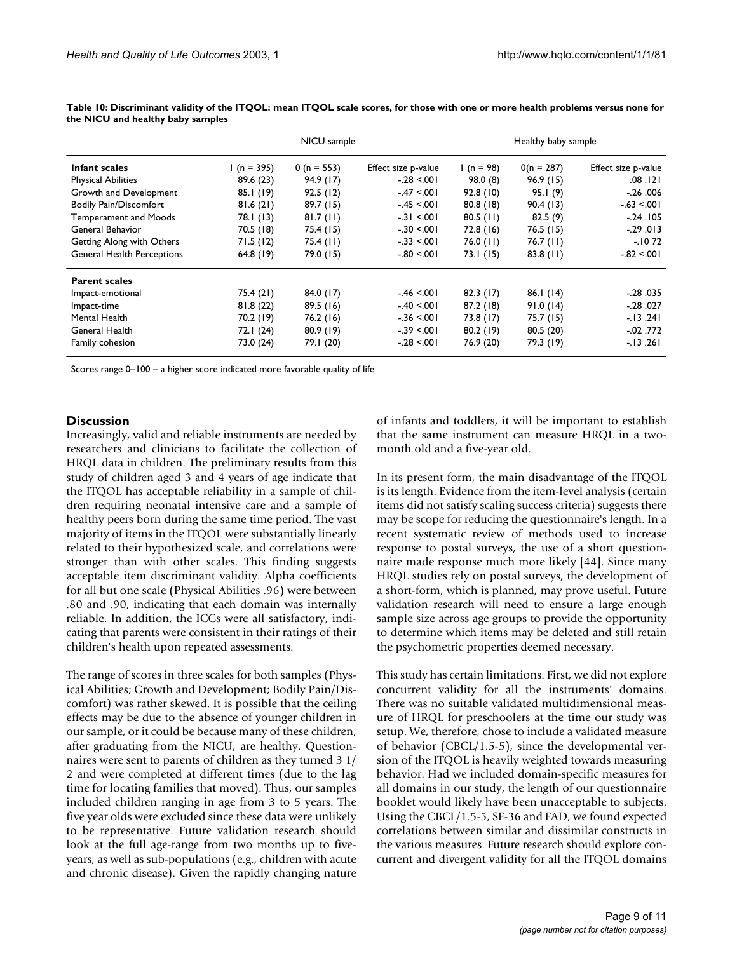| Infant scales                     |              | NICU sample |                     | Healthy baby sample |              |                     |  |
|-----------------------------------|--------------|-------------|---------------------|---------------------|--------------|---------------------|--|
|                                   | $1(n = 395)$ | 0 (n = 553) | Effect size p-value | I (n = 98)          | $0(n = 287)$ | Effect size p-value |  |
| <b>Physical Abilities</b>         | 89.6 (23)    | 94.9(17)    | $-28 \le 001$       | 98.0(8)             | 96.9(15)     | .08.121             |  |
| Growth and Development            | 85.1(19)     | 92.5(12)    | $-47 < 001$         | 92.8(10)            | 95.1(9)      | $-.26.006$          |  |
| <b>Bodily Pain/Discomfort</b>     | 81.6(21)     | 89.7(15)    | $-45 < 001$         | 80.8(18)            | 90.4(13)     | $-.63 < .001$       |  |
| <b>Temperament and Moods</b>      | 78.1 (13)    | 81.7(11)    | $-31 \le 001$       | $80.5$ (11)         | 82.5(9)      | $-.24.105$          |  |
| General Behavior                  | 70.5 (18)    | 75.4 (15)   | $-.30 < .001$       | 72.8(16)            | 76.5(15)     | $-0.29$ $.013$      |  |
| Getting Along with Others         | 71.5(12)     | 75.4 (11)   | $-.33 < .001$       | $76.0$ (11)         | $76.7$ (11)  | $-1072$             |  |
| <b>General Health Perceptions</b> | 64.8 (19)    | 79.0 (15)   | $-0.80 < 0.01$      | 73.1(15)            | $83.8$ (11)  | $-0.82 < 0.01$      |  |
| <b>Parent scales</b>              |              |             |                     |                     |              |                     |  |
| Impact-emotional                  | 75.4 (21)    | 84.0 (17)   | $-46 \le 001$       | 82.3(17)            | 86.1(14)     | $-.28.035$          |  |
| Impact-time                       | 81.8(22)     | 89.5(16)    | $-40 < 001$         | 87.2(18)            | 91.0(14)     | $-.28.027$          |  |
| Mental Health                     | 70.2 (19)    | 76.2 (16)   | $-36 \le 001$       | 73.8 (17)           | 75.7(15)     | $-13.241$           |  |
| General Health                    | 72.1(24)     | 80.9(19)    | $-.39 < .001$       | 80.2(19)            | 80.5(20)     | $-02$ .772          |  |
| Family cohesion                   | 73.0 (24)    | 79.I (20)   | $-28 < 001$         | 76.9 (20)           | 79.3 (19)    | $-13.261$           |  |

<span id="page-8-0"></span>**Table 10: Discriminant validity of the ITQOL: mean ITQOL scale scores, for those with one or more health problems versus none for the NICU and healthy baby samples**

Scores range 0–100 – a higher score indicated more favorable quality of life

# **Discussion**

Increasingly, valid and reliable instruments are needed by researchers and clinicians to facilitate the collection of HRQL data in children. The preliminary results from this study of children aged 3 and 4 years of age indicate that the ITQOL has acceptable reliability in a sample of children requiring neonatal intensive care and a sample of healthy peers born during the same time period. The vast majority of items in the ITQOL were substantially linearly related to their hypothesized scale, and correlations were stronger than with other scales. This finding suggests acceptable item discriminant validity. Alpha coefficients for all but one scale (Physical Abilities .96) were between .80 and .90, indicating that each domain was internally reliable. In addition, the ICCs were all satisfactory, indicating that parents were consistent in their ratings of their children's health upon repeated assessments.

The range of scores in three scales for both samples (Physical Abilities; Growth and Development; Bodily Pain/Discomfort) was rather skewed. It is possible that the ceiling effects may be due to the absence of younger children in our sample, or it could be because many of these children, after graduating from the NICU, are healthy. Questionnaires were sent to parents of children as they turned 3 1/ 2 and were completed at different times (due to the lag time for locating families that moved). Thus, our samples included children ranging in age from 3 to 5 years. The five year olds were excluded since these data were unlikely to be representative. Future validation research should look at the full age-range from two months up to fiveyears, as well as sub-populations (e.g., children with acute and chronic disease). Given the rapidly changing nature

of infants and toddlers, it will be important to establish that the same instrument can measure HRQL in a twomonth old and a five-year old.

In its present form, the main disadvantage of the ITQOL is its length. Evidence from the item-level analysis (certain items did not satisfy scaling success criteria) suggests there may be scope for reducing the questionnaire's length. In a recent systematic review of methods used to increase response to postal surveys, the use of a short questionnaire made response much more likely [44]. Since many HRQL studies rely on postal surveys, the development of a short-form, which is planned, may prove useful. Future validation research will need to ensure a large enough sample size across age groups to provide the opportunity to determine which items may be deleted and still retain the psychometric properties deemed necessary.

This study has certain limitations. First, we did not explore concurrent validity for all the instruments' domains. There was no suitable validated multidimensional measure of HRQL for preschoolers at the time our study was setup. We, therefore, chose to include a validated measure of behavior (CBCL/1.5-5), since the developmental version of the ITQOL is heavily weighted towards measuring behavior. Had we included domain-specific measures for all domains in our study, the length of our questionnaire booklet would likely have been unacceptable to subjects. Using the CBCL/1.5-5, SF-36 and FAD, we found expected correlations between similar and dissimilar constructs in the various measures. Future research should explore concurrent and divergent validity for all the ITQOL domains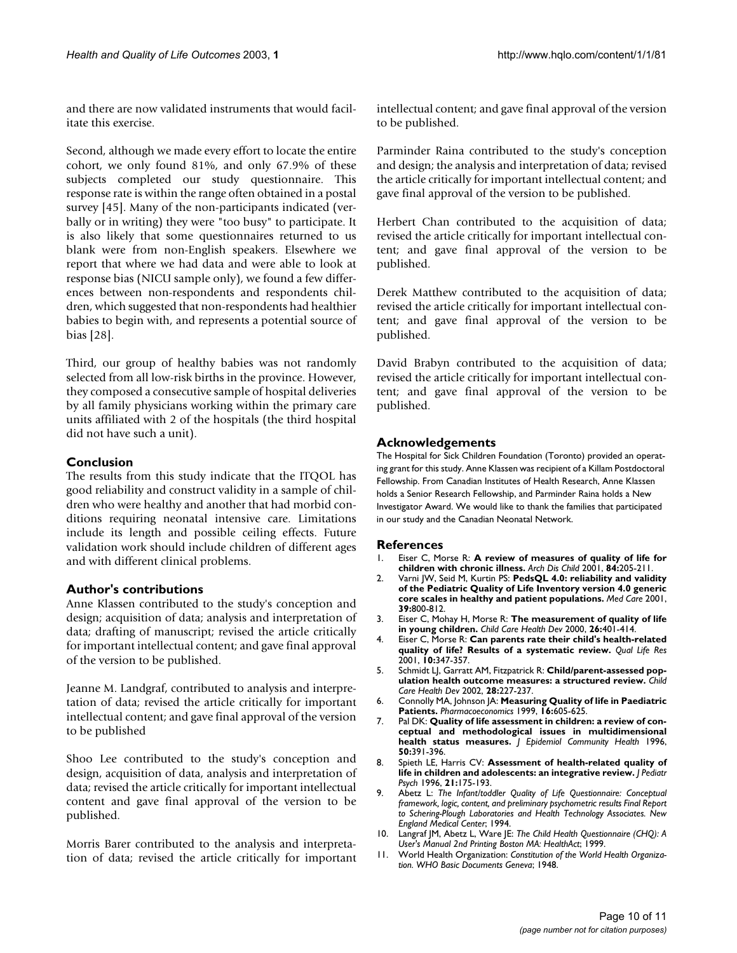and there are now validated instruments that would facilitate this exercise.

Second, although we made every effort to locate the entire cohort, we only found 81%, and only 67.9% of these subjects completed our study questionnaire. This response rate is within the range often obtained in a postal survey [45]. Many of the non-participants indicated (verbally or in writing) they were "too busy" to participate. It is also likely that some questionnaires returned to us blank were from non-English speakers. Elsewhere we report that where we had data and were able to look at response bias (NICU sample only), we found a few differences between non-respondents and respondents children, which suggested that non-respondents had healthier babies to begin with, and represents a potential source of bias [28].

Third, our group of healthy babies was not randomly selected from all low-risk births in the province. However, they composed a consecutive sample of hospital deliveries by all family physicians working within the primary care units affiliated with 2 of the hospitals (the third hospital did not have such a unit).

# **Conclusion**

The results from this study indicate that the ITQOL has good reliability and construct validity in a sample of children who were healthy and another that had morbid conditions requiring neonatal intensive care. Limitations include its length and possible ceiling effects. Future validation work should include children of different ages and with different clinical problems.

# **Author's contributions**

Anne Klassen contributed to the study's conception and design; acquisition of data; analysis and interpretation of data; drafting of manuscript; revised the article critically for important intellectual content; and gave final approval of the version to be published.

Jeanne M. Landgraf, contributed to analysis and interpretation of data; revised the article critically for important intellectual content; and gave final approval of the version to be published

Shoo Lee contributed to the study's conception and design, acquisition of data, analysis and interpretation of data; revised the article critically for important intellectual content and gave final approval of the version to be published.

Morris Barer contributed to the analysis and interpretation of data; revised the article critically for important intellectual content; and gave final approval of the version to be published.

Parminder Raina contributed to the study's conception and design; the analysis and interpretation of data; revised the article critically for important intellectual content; and gave final approval of the version to be published.

Herbert Chan contributed to the acquisition of data; revised the article critically for important intellectual content; and gave final approval of the version to be published.

Derek Matthew contributed to the acquisition of data; revised the article critically for important intellectual content; and gave final approval of the version to be published.

David Brabyn contributed to the acquisition of data; revised the article critically for important intellectual content; and gave final approval of the version to be published.

# **Acknowledgements**

The Hospital for Sick Children Foundation (Toronto) provided an operating grant for this study. Anne Klassen was recipient of a Killam Postdoctoral Fellowship. From Canadian Institutes of Health Research, Anne Klassen holds a Senior Research Fellowship, and Parminder Raina holds a New Investigator Award. We would like to thank the families that participated in our study and the Canadian Neonatal Network.

### **References**

- 1. Eiser C, Morse R: **[A review of measures of quality of life for](http://www.ncbi.nlm.nih.gov/entrez/query.fcgi?cmd=Retrieve&db=PubMed&dopt=Abstract&list_uids=10.1136/adc.84.3.205) [children with chronic illness](http://www.ncbi.nlm.nih.gov/entrez/query.fcgi?cmd=Retrieve&db=PubMed&dopt=Abstract&list_uids=10.1136/adc.84.3.205)[.](http://www.ncbi.nlm.nih.gov/entrez/query.fcgi?cmd=Retrieve&db=PubMed&dopt=Abstract&list_uids=11207164)** *Arch Dis Child* 2001, **84:**205-211.
- 2. Varni JW, Seid M, Kurtin PS: **[PedsQL 4.0: reliability and validity](http://www.ncbi.nlm.nih.gov/entrez/query.fcgi?cmd=Retrieve&db=PubMed&dopt=Abstract&list_uids=10.1097/00005650-200108000-00006) [of the Pediatric Quality of Life Inventory version 4.0 generic](http://www.ncbi.nlm.nih.gov/entrez/query.fcgi?cmd=Retrieve&db=PubMed&dopt=Abstract&list_uids=10.1097/00005650-200108000-00006) [core scales in healthy and patient populations](http://www.ncbi.nlm.nih.gov/entrez/query.fcgi?cmd=Retrieve&db=PubMed&dopt=Abstract&list_uids=10.1097/00005650-200108000-00006)[.](http://www.ncbi.nlm.nih.gov/entrez/query.fcgi?cmd=Retrieve&db=PubMed&dopt=Abstract&list_uids=11468499)** *Med Care* 2001, **39:**800-812.
- 3. Eiser C, Mohay H, Morse R: **[The measurement of quality of life](http://www.ncbi.nlm.nih.gov/entrez/query.fcgi?cmd=Retrieve&db=PubMed&dopt=Abstract&list_uids=10.1046/j.1365-2214.2000.00154.x) [in young children](http://www.ncbi.nlm.nih.gov/entrez/query.fcgi?cmd=Retrieve&db=PubMed&dopt=Abstract&list_uids=10.1046/j.1365-2214.2000.00154.x)[.](http://www.ncbi.nlm.nih.gov/entrez/query.fcgi?cmd=Retrieve&db=PubMed&dopt=Abstract&list_uids=10998003)** *Child Care Health Dev* 2000, **26:**401-414.
- 4. Eiser C, Morse R: **[Can parents rate their child's health-related](http://www.ncbi.nlm.nih.gov/entrez/query.fcgi?cmd=Retrieve&db=PubMed&dopt=Abstract&list_uids=10.1023/A:1012253723272) [quality of life? Results of a systematic review](http://www.ncbi.nlm.nih.gov/entrez/query.fcgi?cmd=Retrieve&db=PubMed&dopt=Abstract&list_uids=10.1023/A:1012253723272)[.](http://www.ncbi.nlm.nih.gov/entrez/query.fcgi?cmd=Retrieve&db=PubMed&dopt=Abstract&list_uids=11763247)** *Qual Life Res* 2001, **10:**347-357.
- 5. Schmidt LJ, Garratt AM, Fitzpatrick R: **[Child/parent-assessed pop](http://www.ncbi.nlm.nih.gov/entrez/query.fcgi?cmd=Retrieve&db=PubMed&dopt=Abstract&list_uids=10.1046/j.1365-2214.2002.00266.x)[ulation health outcome measures: a structured review](http://www.ncbi.nlm.nih.gov/entrez/query.fcgi?cmd=Retrieve&db=PubMed&dopt=Abstract&list_uids=10.1046/j.1365-2214.2002.00266.x)[.](http://www.ncbi.nlm.nih.gov/entrez/query.fcgi?cmd=Retrieve&db=PubMed&dopt=Abstract&list_uids=12064288)** *Child Care Health Dev* 2002, **28:**227-237.
- 6. Connolly MA, Johnson JA: **[Measuring Quality of life in Paediatric](http://www.ncbi.nlm.nih.gov/entrez/query.fcgi?cmd=Retrieve&db=PubMed&dopt=Abstract&list_uids=10724790) [Patients.](http://www.ncbi.nlm.nih.gov/entrez/query.fcgi?cmd=Retrieve&db=PubMed&dopt=Abstract&list_uids=10724790)** *Pharmacoeconomics* 1999, **16:**605-625.
- 7. Pal DK: **[Quality of life assessment in children: a review of con](http://www.ncbi.nlm.nih.gov/entrez/query.fcgi?cmd=Retrieve&db=PubMed&dopt=Abstract&list_uids=8882220)[ceptual and methodological issues in multidimensional](http://www.ncbi.nlm.nih.gov/entrez/query.fcgi?cmd=Retrieve&db=PubMed&dopt=Abstract&list_uids=8882220) [health status measures.](http://www.ncbi.nlm.nih.gov/entrez/query.fcgi?cmd=Retrieve&db=PubMed&dopt=Abstract&list_uids=8882220)** *J Epidemiol Community Health* 1996, **50:**391-396.
- 8. Spieth LE, Harris CV: **Assessment of health-related quality of life in children and adolescents: an integrative review.** *J Pediatr Psych* 1996, **21:**175-193.
- 9. Abetz L: *The Infant/toddler Quality of Life Questionnaire: Conceptual framework, logic, content, and preliminary psychometric results Final Report to Schering-Plough Laboratories and Health Technology Associates. New England Medical Center*; 1994.
- 10. Langraf JM, Abetz L, Ware JE: *The Child Health Questionnaire (CHQ): A User's Manual 2nd Printing Boston MA: HealthAct*; 1999.
- 11. World Health Organization: *Constitution of the World Health Organization. WHO Basic Documents Geneva*; 1948.